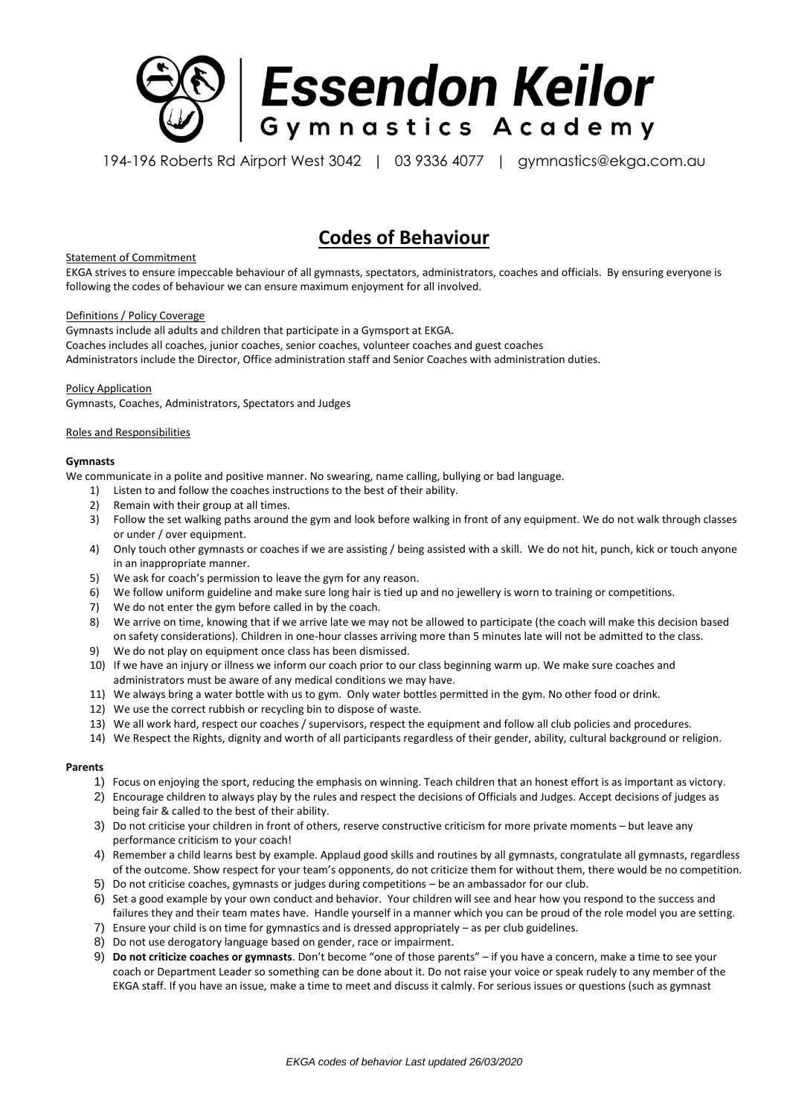

194-196 Roberts Rd Airport West 3042 | 03 9336 4077 | gymnastics@ekga.com.au

# **Codes of Behaviour**

# Statement of Commitment

EKGA strives to ensure impeccable behaviour of all gymnasts, spectators, administrators, coaches and officials. By ensuring everyone is following the codes of behaviour we can ensure maximum enjoyment for all involved.

#### Definitions / Policy Coverage

Gymnasts include all adults and children that participate in a Gymsport at EKGA. Coaches includes all coaches, junior coaches, senior coaches, volunteer coaches and guest coaches Administrators include the Director, Office administration staff and Senior Coaches with administration duties.

#### Policy Application

Gymnasts, Coaches, Administrators, Spectators and Judges

#### Roles and Responsibilities

#### **Gymnasts**

We communicate in a polite and positive manner. No swearing, name calling, bullying or bad language.

- 1) Listen to and follow the coaches instructions to the best of their ability.
- 2) Remain with their group at all times.
- 3) Follow the set walking paths around the gym and look before walking in front of any equipment. We do not walk through classes or under / over equipment.
- 4) Only touch other gymnasts or coaches if we are assisting / being assisted with a skill. We do not hit, punch, kick or touch anyone in an inappropriate manner.
- 5) We ask for coach's permission to leave the gym for any reason.
- 6) We follow uniform guideline and make sure long hair is tied up and no jewellery is worn to training or competitions.
- 7) We do not enter the gym before called in by the coach.
- 8) We arrive on time, knowing that if we arrive late we may not be allowed to participate (the coach will make this decision based on safety considerations). Children in one-hour classes arriving more than 5 minutes late will not be admitted to the class.
- 9) We do not play on equipment once class has been dismissed.
- 10) If we have an injury or illness we inform our coach prior to our class beginning warm up. We make sure coaches and administrators must be aware of any medical conditions we may have.
- 11) We always bring a water bottle with us to gym. Only water bottles permitted in the gym. No other food or drink.
- 12) We use the correct rubbish or recycling bin to dispose of waste.
- 13) We all work hard, respect our coaches / supervisors, respect the equipment and follow all club policies and procedures.
- 14) We Respect the Rights, dignity and worth of all participants regardless of their gender, ability, cultural background or religion.

# **Parents**

- 1) Focus on enjoying the sport, reducing the emphasis on winning. Teach children that an honest effort is as important as victory.
- 2) Encourage children to always play by the rules and respect the decisions of Officials and Judges. Accept decisions of judges as being fair & called to the best of their ability.
- 3) Do not criticise your children in front of others, reserve constructive criticism for more private moments but leave any performance criticism to your coach!
- 4) Remember a child learns best by example. Applaud good skills and routines by all gymnasts, congratulate all gymnasts, regardless of the outcome. Show respect for your team's opponents, do not criticize them for without them, there would be no competition.
- 5) Do not criticise coaches, gymnasts or judges during competitions be an ambassador for our club.
- 6) Set a good example by your own conduct and behavior. Your children will see and hear how you respond to the success and failures they and their team mates have. Handle yourself in a manner which you can be proud of the role model you are setting.
- 7) Ensure your child is on time for gymnastics and is dressed appropriately as per club guidelines.
- 8) Do not use derogatory language based on gender, race or impairment.
- 9) **Do not criticize coaches or gymnasts**. Don't become "one of those parents" if you have a concern, make a time to see your coach or Department Leader so something can be done about it. Do not raise your voice or speak rudely to any member of the EKGA staff. If you have an issue, make a time to meet and discuss it calmly. For serious issues or questions (such as gymnast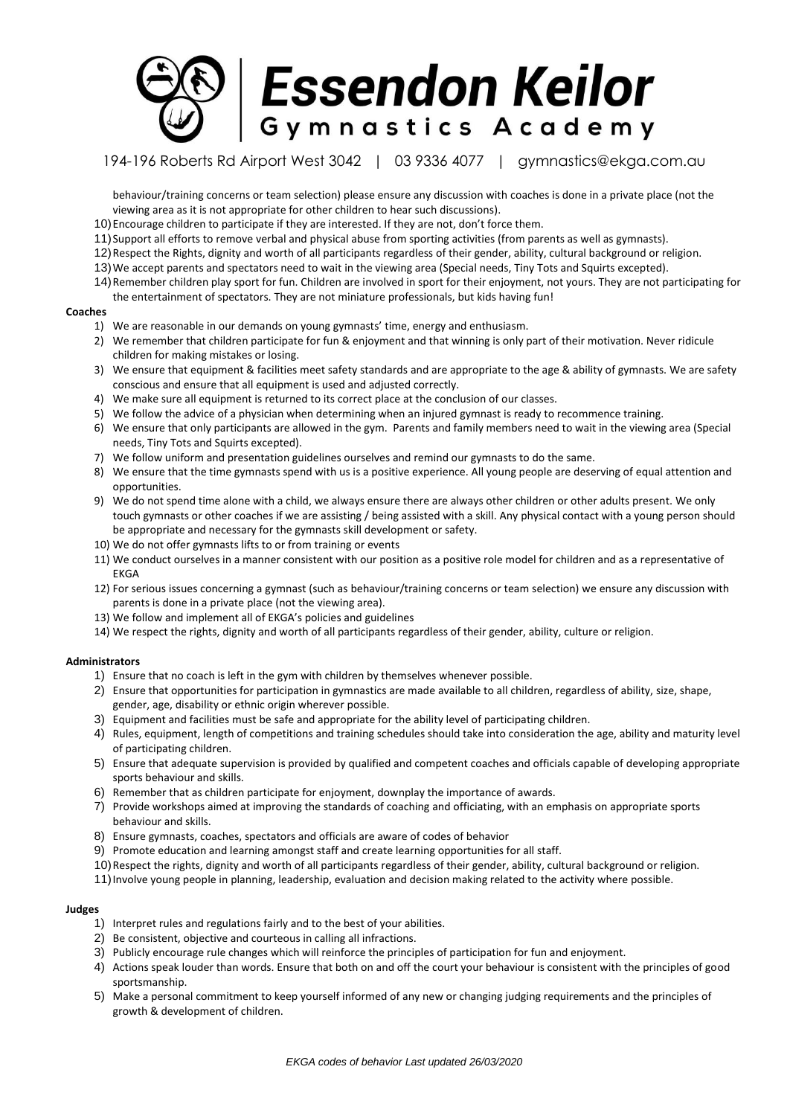

194-196 Roberts Rd Airport West 3042 | 03 9336 4077 | gymnastics@ekga.com.au

behaviour/training concerns or team selection) please ensure any discussion with coaches is done in a private place (not the viewing area as it is not appropriate for other children to hear such discussions).

- 10)Encourage children to participate if they are interested. If they are not, don't force them.
- 11)Support all efforts to remove verbal and physical abuse from sporting activities (from parents as well as gymnasts).
- 12)Respect the Rights, dignity and worth of all participants regardless of their gender, ability, cultural background or religion.
- 13)We accept parents and spectators need to wait in the viewing area (Special needs, Tiny Tots and Squirts excepted).
- 14)Remember children play sport for fun. Children are involved in sport for their enjoyment, not yours. They are not participating for the entertainment of spectators. They are not miniature professionals, but kids having fun!

#### **Coaches**

- 1) We are reasonable in our demands on young gymnasts' time, energy and enthusiasm.
- 2) We remember that children participate for fun & enjoyment and that winning is only part of their motivation. Never ridicule children for making mistakes or losing.
- 3) We ensure that equipment & facilities meet safety standards and are appropriate to the age & ability of gymnasts. We are safety conscious and ensure that all equipment is used and adjusted correctly.
- 4) We make sure all equipment is returned to its correct place at the conclusion of our classes.
- 5) We follow the advice of a physician when determining when an injured gymnast is ready to recommence training.
- 6) We ensure that only participants are allowed in the gym. Parents and family members need to wait in the viewing area (Special needs, Tiny Tots and Squirts excepted).
- 7) We follow uniform and presentation guidelines ourselves and remind our gymnasts to do the same.
- 8) We ensure that the time gymnasts spend with us is a positive experience. All young people are deserving of equal attention and opportunities.
- 9) We do not spend time alone with a child, we always ensure there are always other children or other adults present. We only touch gymnasts or other coaches if we are assisting / being assisted with a skill. Any physical contact with a young person should be appropriate and necessary for the gymnasts skill development or safety.
- 10) We do not offer gymnasts lifts to or from training or events
- 11) We conduct ourselves in a manner consistent with our position as a positive role model for children and as a representative of EKGA
- 12) For serious issues concerning a gymnast (such as behaviour/training concerns or team selection) we ensure any discussion with parents is done in a private place (not the viewing area).
- 13) We follow and implement all of EKGA's policies and guidelines
- 14) We respect the rights, dignity and worth of all participants regardless of their gender, ability, culture or religion.

# **Administrators**

- 1) Ensure that no coach is left in the gym with children by themselves whenever possible.
- 2) Ensure that opportunities for participation in gymnastics are made available to all children, regardless of ability, size, shape, gender, age, disability or ethnic origin wherever possible.
- 3) Equipment and facilities must be safe and appropriate for the ability level of participating children.
- 4) Rules, equipment, length of competitions and training schedules should take into consideration the age, ability and maturity level of participating children.
- 5) Ensure that adequate supervision is provided by qualified and competent coaches and officials capable of developing appropriate sports behaviour and skills.
- 6) Remember that as children participate for enjoyment, downplay the importance of awards.
- 7) Provide workshops aimed at improving the standards of coaching and officiating, with an emphasis on appropriate sports behaviour and skills.
- 8) Ensure gymnasts, coaches, spectators and officials are aware of codes of behavior
- 9) Promote education and learning amongst staff and create learning opportunities for all staff.
- 10)Respect the rights, dignity and worth of all participants regardless of their gender, ability, cultural background or religion.
- 11)Involve young people in planning, leadership, evaluation and decision making related to the activity where possible.

# **Judges**

- 1) Interpret rules and regulations fairly and to the best of your abilities.
- 2) Be consistent, objective and courteous in calling all infractions.
- 3) Publicly encourage rule changes which will reinforce the principles of participation for fun and enjoyment.
- 4) Actions speak louder than words. Ensure that both on and off the court your behaviour is consistent with the principles of good sportsmanship.
- 5) Make a personal commitment to keep yourself informed of any new or changing judging requirements and the principles of growth & development of children.